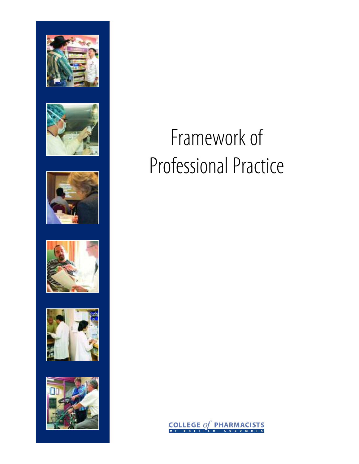











# Framework of Professional Practice

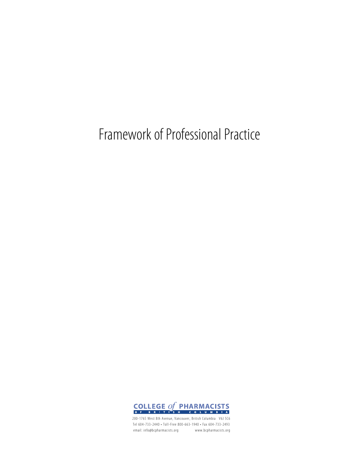Framework of Professional Practice



200-1765 West 8th Avenue, Vancouver, British Columbia V6J 5C6 Tel 604-733-2440 • Toll-Free 800-663-1940 • Fax 604-733-2493 email: info@bcpharmacists.org www.bcpharmacists.org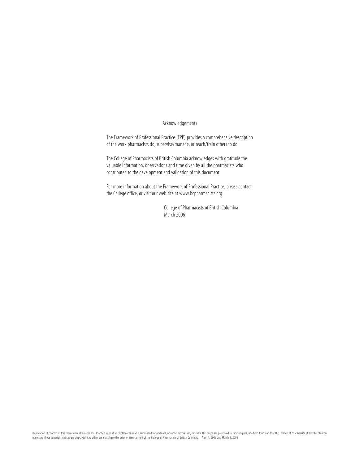### Acknowledgements

The Framework of Professional Practice (FPP) provides a comprehensive description of the work pharmacists do, supervise/manage, or teach/train others to do.

The College of Pharmacists of British Columbia acknowledges with gratitude the valuable information, observations and time given by all the pharmacists who contributed to the development and validation of this document.

For more information about the Framework of Professional Practice, please contact the College office, or visit our web site at www.bcpharmacists.org.

> College of Pharmacists of British Columbia March 2006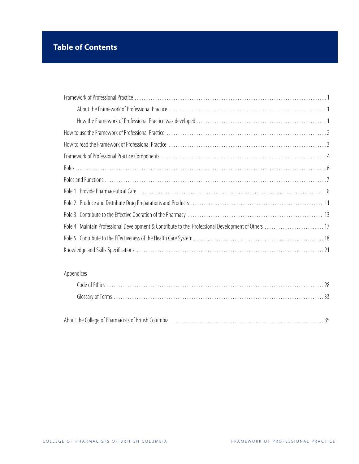# **Table of Contents**

| Role 4 Maintain Professional Development & Contribute to the Professional Development of Others 17 |  |
|----------------------------------------------------------------------------------------------------|--|
|                                                                                                    |  |
|                                                                                                    |  |

### Appendices

|--|--|--|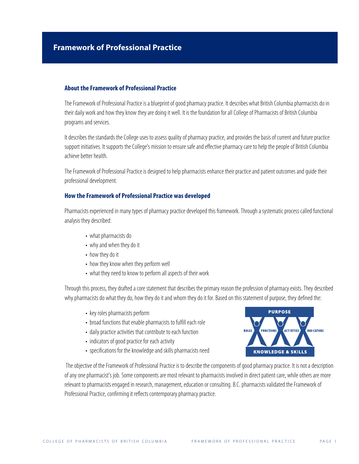### **About the Framework of Professional Practice**

The Framework of Professional Practice is a blueprint of good pharmacy practice. It describes what British Columbia pharmacists do in their daily work and how they know they are doing it well. It is the foundation for all College of Pharmacists of British Columbia programs and services.

It describes the standards the College uses to assess quality of pharmacy practice, and provides the basis of current and future practice support initiatives. It supports the College's mission to ensure safe and effective pharmacy care to help the people of British Columbia achieve better health.

The Framework of Professional Practice is designed to help pharmacists enhance their practice and patient outcomes and guide their professional development.

### **How the Framework of Professional Practice was developed**

Pharmacists experienced in many types of pharmacy practice developed this framework. Through a systematic process called functional analysis they described:

- what pharmacists do
- why and when they do it
- how they do it
- how they know when they perform well
- what they need to know to perform all aspects of their work

Through this process, they drafted a core statement that describes the primary reason the profession of pharmacy exists. They described why pharmacists do what they do, how they do it and whom they do it for. Based on this statement of purpose, they defined the:

- key roles pharmacists perform
- broad functions that enable pharmacists to fulfill each role
- daily practice activities that contribute to each function
- indicators of good practice for each activity
- specifications for the knowledge and skills pharmacists need



The objective of the Framework of Professional Practice is to describe the components of good pharmacy practice. It is not a description of any one pharmacist's job. Some components are most relevant to pharmacists involved in direct patient care, while others are more relevant to pharmacists engaged in research, management, education or consulting. B.C. pharmacists validated the Framework of Professional Practice, confirming it reflects contemporary pharmacy practice.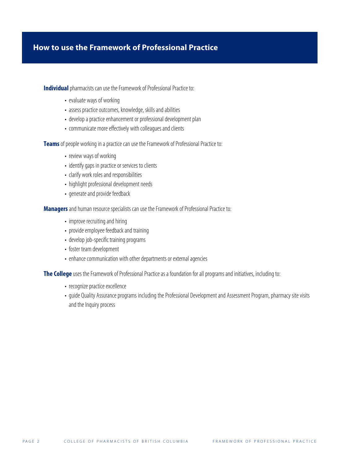### **How to use the Framework of Professional Practice**

**Individual** pharmacists can use the Framework of Professional Practice to:

- evaluate ways of working
- assess practice outcomes, knowledge, skills and abilities
- develop a practice enhancement or professional development plan
- communicate more effectively with colleagues and clients

**Teams**of people working in a practice can use the Framework of Professional Practice to:

- review ways of working
- identify gaps in practice or services to clients
- clarify work roles and responsibilities
- highlight professional development needs
- generate and provide feedback

**Managers** and human resource specialists can use the Framework of Professional Practice to:

- improve recruiting and hiring
- provide employee feedback and training
- develop job-specific training programs
- foster team development
- enhance communication with other departments or external agencies

**The College** uses the Framework of Professional Practice as a foundation for all programs and initiatives, including to:

- recognize practice excellence
- guide Quality Assurance programs including the Professional Development and Assessment Program, pharmacy site visits and the Inquiry process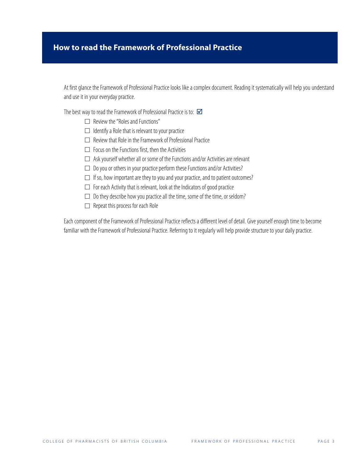### **How to read the Framework of Professional Practice**

At first glance the Framework of Professional Practice looks like a complex document. Reading it systematically will help you understand and use it in your everyday practice.

The best way to read the Framework of Professional Practice is to:  $\boxtimes$ 

- $\Box$  Review the "Roles and Functions"
- $\Box$  Identify a Role that is relevant to your practice
- $\Box$  Review that Role in the Framework of Professional Practice
- $\Box$  Focus on the Functions first, then the Activities
- $\Box$  Ask yourself whether all or some of the Functions and/or Activities are relevant
- $\square$  Do you or others in your practice perform these Functions and/or Activities?
- $\Box$  If so, how important are they to you and your practice, and to patient outcomes?
- $\Box$  For each Activity that is relevant, look at the Indicators of good practice
- $\square$  Do they describe how you practice all the time, some of the time, or seldom?
- $\Box$  Repeat this process for each Role

Each component of the Framework of Professional Practice reflects a different level of detail. Give yourself enough time to become familiar with the Framework of Professional Practice. Referring to it regularly will help provide structure to your daily practice.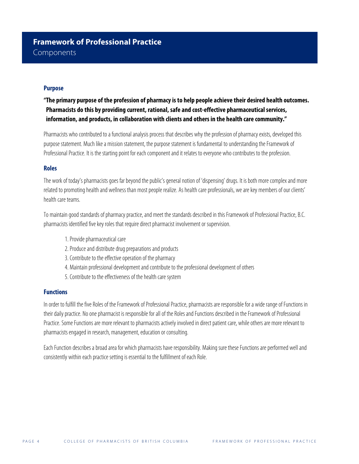### **Purpose**

**"The primary purpose of the profession of pharmacy is to help people achieve their desired health outcomes. Pharmacists do this by providing current, rational, safe and cost-effective pharmaceutical services, information, and products, in collaboration with clients and others in the health care community."**

Pharmacists who contributed to a functional analysis process that describes why the profession of pharmacy exists, developed this purpose statement. Much like a mission statement, the purpose statement is fundamental to understanding the Framework of Professional Practice. It is the starting point for each component and it relates to everyone who contributes to the profession.

### **Roles**

The work of today's pharmacists goes far beyond the public's general notion of 'dispensing' drugs. It is both more complex and more related to promoting health and wellness than most people realize. As health care professionals, we are key members of our clients' health care teams.

To maintain good standards of pharmacy practice, and meet the standards described in this Framework of Professional Practice, B.C. pharmacists identified five key roles that require direct pharmacist involvement or supervision.

- 1. Provide pharmaceutical care
- 2. Produce and distribute drug preparations and products
- 3.Contribute to the effective operation of the pharmacy
- 4. Maintain professional development and contribute to the professional development of others
- 5. Contribute to the effectiveness of the health care system

### **Functions**

In order to fulfill the five Roles of the Framework of Professional Practice, pharmacists are responsible for a wide range of Functions in their daily practice. No one pharmacist is responsible for all of the Roles and Functions described in the Framework of Professional Practice. Some Functions are more relevant to pharmacists actively involved in direct patient care, while others are more relevant to pharmacists engaged in research, management, education or consulting.

Each Function describes a broad area for which pharmacists have responsibility. Making sure these Functions are performed well and consistently within each practice setting is essential to the fulfillment of each Role.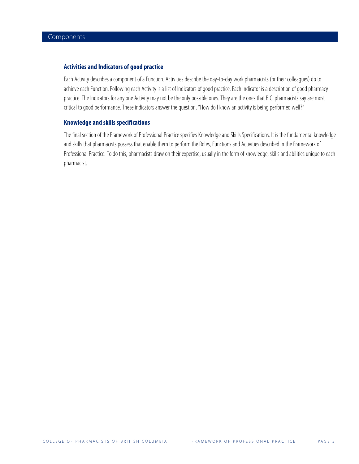### **Activities and Indicators of good practice**

Each Activity describes a component of a Function. Activities describe the day-to-day work pharmacists (or their colleagues) do to achieve each Function. Following each Activity is a list of Indicators of good practice. Each Indicator is a description of good pharmacy practice. The Indicators for any one Activity may not be the only possible ones. They are the ones that B.C. pharmacists say are most critical to good performance. These indicators answer the question, "How do I know an activity is being performed well?"

### **Knowledge and skills specifications**

The final section of the Framework of Professional Practice specifies Knowledge and Skills Specifications. It is the fundamental knowledge and skills that pharmacists possess that enable them to perform the Roles, Functions and Activities described in the Framework of Professional Practice. To do this, pharmacists draw on their expertise, usually in the form of knowledge, skills and abilities unique to each pharmacist.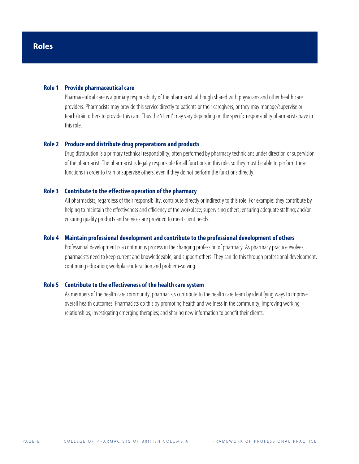### **Role 1 Provide pharmaceutical care**

Pharmaceutical care is a primary responsibility of the pharmacist, although shared with physicians and other health care providers. Pharmacists may provide this service directly to patients or their caregivers; or they may manage/supervise or teach/train others to provide this care. Thus the 'client' may vary depending on the specific responsibility pharmacists have in this role.

#### **Role 2 Produce and distribute drug preparations and products**

Drug distribution is a primary technical responsibility, often performed by pharmacy technicians under direction or supervision of the pharmacist. The pharmacist is legally responsible for all functions in this role, so they must be able to perform these functions in order to train or supervise others, even if they do not perform the functions directly.

### **Role 3 Contribute to the effective operation of the pharmacy**

All pharmacists, regardless of their responsibility, contribute directly or indirectly to this role. For example: they contribute by helping to maintain the effectiveness and efficiency of the workplace; supervising others; ensuring adequate staffing; and/or ensuring quality products and services are provided to meet client needs.

### **Role 4 Maintain professional development and contribute to the professional development of others**

Professional development is a continuous process in the changing profession of pharmacy. As pharmacy practice evolves, pharmacists need to keep current and knowledgeable, and support others. They can do this through professional development, continuing education; workplace interaction and problem-solving.

### **Role 5 Contribute to the effectiveness of the health care system**

As members of the health care community, pharmacists contribute to the health care team by identifying ways to improve overall health outcomes. Pharmacists do this by promoting health and wellness in the community; improving working relationships; investigating emerging therapies; and sharing new information to benefit their clients.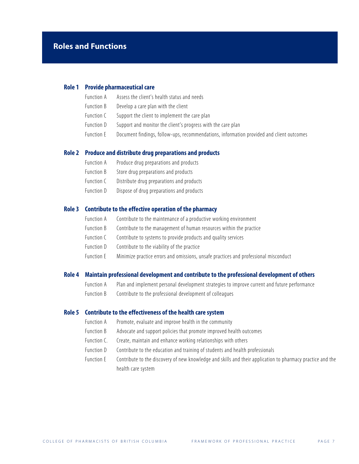### **Role 1 Provide pharmaceutical care**

- Function A Assess the client's health status and needs
- Function B Develop a care plan with the client
- Function C Support the client to implement the care plan
- Function D Support and monitor the client's progress with the care plan
- Function E Document findings, follow-ups, recommendations, information provided and client outcomes

#### **Role 2 Produce and distribute drug preparations and products**

- Function A Produce drug preparations and products
- Function B Store drug preparations and products
- Function C Distribute drug preparations and products
- Function D Dispose of drug preparations and products

### **Role 3 Contribute to the effective operation of the pharmacy**

- Function A Contribute to the maintenance of a productive working environment
- Function B Contribute to the management of human resources within the practice
- Function C Contribute to systems to provide products and quality services
- Function D Contribute to the viability of the practice
- Function E Minimize practice errors and omissions, unsafe practices and professional misconduct

### **Role 4 Maintain professional development and contribute to the professional development of others**

- Function A Plan and implement personal development strategies to improve current and future performance
- Function B Contribute to the professional development of colleagues

### **Role 5 Contribute to the effectiveness of the health care system**

- Function A Promote, evaluate and improve health in the community
- Function B Advocate and support policies that promote improved health outcomes
- Function C. Create, maintain and enhance working relationships with others
- Function D Contribute to the education and training of students and health professionals
- Function E Contribute to the discovery of new knowledge and skills and their application to pharmacy practice and the health care system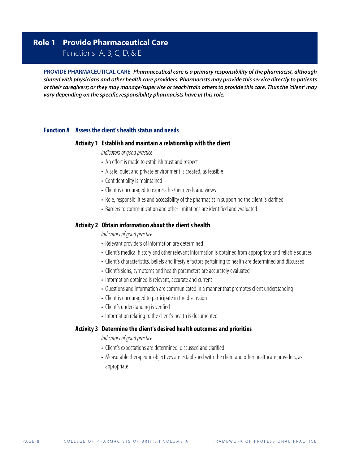### **Role 1 Provide Pharmaceutical Care**

Functions A, B, C, D, & E

**PROVIDE PHARMACEUTICAL CARE Pharmaceutical care is a primary responsibility of the pharmacist, although shared with physicians and other health care providers. Pharmacists may provide this service directly to patients or their caregivers; or they may manage/supervise or teach/train others to provide this care. Thus the 'client' may vary depending on the specific responsibility pharmacists have in this role.**

### **Function A Assess the client's health status and needs**

### **Activity 1 Establish and maintain a relationship with the client**

Indicators of good practice

- An effort is made to establish trust and respect
- A safe, quiet and private environment is created, as feasible
- Confidentiality is maintained
- Client is encouraged to express his/her needs and views
- Role, responsibilities and accessibility of the pharmacist in supporting the client is clarified
- Barriers to communication and other limitations are identified and evaluated

### **Activity 2 Obtain information about the client's health**

Indicators of good practice

- Relevant providers of information are determined
- Client's medical history and other relevant information is obtained from appropriate and reliable sources
- Client's characteristics, beliefs and lifestyle factors pertaining to health are determined and discussed
- Client's signs, symptoms and health parameters are accurately evaluated
- Information obtained is relevant, accurate and current
- Questions and information are communicated in a manner that promotes client understanding
- Client is encouraged to participate in the discussion
- Client's understanding is verified
- Information relating to the client's health is documented

### **Activity 3 Determine the client's desired health outcomes and priorities**

- Client's expectations are determined, discussed and clarified
- Measurable therapeutic objectives are established with the client and other healthcare providers, as appropriate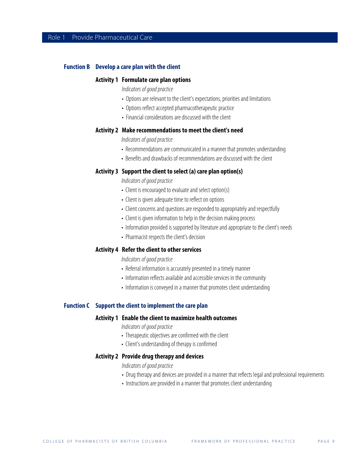### **Function B Develop a care plan with the client**

#### **Activity 1 Formulate care plan options**

Indicators of good practice

- Options are relevant to the client's expectations, priorities and limitations
- Options reflect accepted pharmacotherapeutic practice
- Financial considerations are discussed with the client

### **Activity 2 Make recommendations to meet the client's need**

Indicators of good practice

- Recommendations are communicated in a manner that promotes understanding
- Benefits and drawbacks of recommendations are discussed with the client

### **Activity 3 Support the client to select (a) care plan option(s)**

Indicators of good practice

- Client is encouraged to evaluate and select option(s)
- Client is given adequate time to reflect on options
- Client concerns and questions are responded to appropriately and respectfully
- Client is given information to help in the decision making process
- Information provided is supported by literature and appropriate to the client's needs
- Pharmacist respects the client's decision

### **Activity 4 Refer the client to other services**

Indicators of good practice

- Referral information is accurately presented in a timely manner
- Information reflects available and accessible services in the community
- Information is conveyed in a manner that promotes client understanding

### **Function C Support the client to implement the care plan**

#### **Activity 1 Enable the client to maximize health outcomes**

Indicators of good practice

- Therapeutic objectives are confirmed with the client
- Client's understanding of therapy is confirmed

### **Activity 2 Provide drug therapy and devices**

- Drug therapy and devices are provided in a manner that reflects legal and professional requirements
- Instructions are provided in a manner that promotes client understanding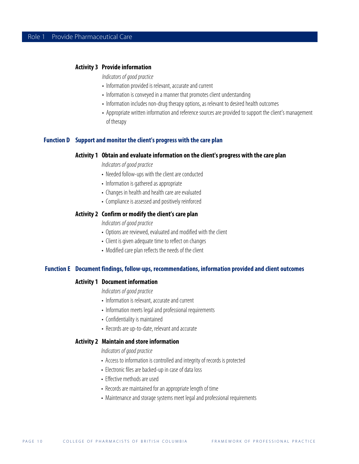### **Activity 3 Provide information**

Indicators of good practice

- Information provided is relevant, accurate and current
- Information is conveyed in a manner that promotes client understanding
- Information includes non-drug therapy options, as relevant to desired health outcomes
- Appropriate written information and reference sources are provided to support the client's management of therapy

### **Function D Support and monitor the client's progress with the care plan**

#### **Activity 1 Obtain and evaluate information on the client's progress with the care plan**

Indicators of good practice

- Needed follow-ups with the client are conducted
- Information is gathered as appropriate
- Changes in health and health care are evaluated
- Compliance is assessed and positively reinforced

### **Activity 2 Confirm or modify the client's care plan**

Indicators of good practice

- Options are reviewed, evaluated and modified with the client
- Client is given adequate time to reflect on changes
- Modified care plan reflects the needs of the client

### **Function E Document findings, follow-ups, recommendations, information provided and client outcomes**

### **Activity 1 Document information**

Indicators of good practice

- Information is relevant, accurate and current
- Information meets legal and professional requirements
- Confidentiality is maintained
- Records are up-to-date, relevant and accurate

### **Activity 2 Maintain and store information**

- Access to information is controlled and integrity of records is protected
- Electronic files are backed-up in case of data loss
- Effective methods are used
- Records are maintained for an appropriate length of time
- Maintenance and storage systems meet legal and professional requirements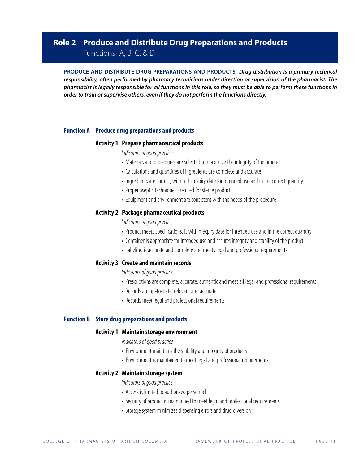### **Role 2 Produce and Distribute Drug Preparations and Products**

Functions A, B, C, & D

**PRODUCE AND DISTRIBUTE DRUG PREPARATIONS AND PRODUCTS Drug distribution is a primary technical responsibility, often performed by pharmacy technicians under direction or supervision of the pharmacist. The pharmacist is legally responsible for all functions in this role, so they must be able to perform these functions in order to train or supervise others, even if they do not perform the functions directly.**

### **Function A Produce drug preparations and products**

### **Activity 1 Prepare pharmaceutical products**

Indicators of good practice

- Materials and procedures are selected to maximize the integrity of the product
- Calculations and quantities of ingredients are complete and accurate
- Ingredients are correct, within the expiry date for intended use and in the correct quantity
- Proper aseptic techniques are used for sterile products
- Equipment and environment are consistent with the needs of the procedure

### **Activity 2 Package pharmaceutical products**

Indicators of good practice

- Product meets specifications, is within expiry date for intended use and in the correct quantity
- Container is appropriate for intended use and assures integrity and stability of the product
- Labeling is accurate and complete and meets legal and professional requirements

### **Activity 3 Create and maintain records**

Indicators of good practice

- Prescriptions are complete, accurate, authentic and meet all legal and professional requirements
- Records are up-to-date, relevant and accurate
- Records meet legal and professional requirements

### **Function B Store drug preparations and products**

### **Activity 1 Maintain storage environment**

Indicators of good practice

- Environment maintains the stability and integrity of products
- Environment is maintained to meet legal and professional requirements

### **Activity 2 Maintain storage system**

- Access is limited to authorized personnel
- Security of product is maintained to meet legal and professional requirements
- Storage system minimizes dispensing errors and drug diversion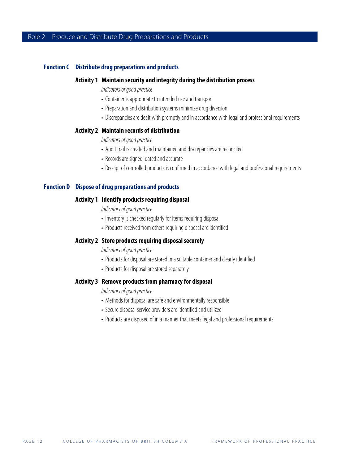### **Function C Distribute drug preparations and products**

### **Activity 1 Maintain security and integrity during the distribution process**

Indicators of good practice

- Container is appropriate to intended use and transport
- Preparation and distribution systems minimize drug diversion
- Discrepancies are dealt with promptly and in accordance with legal and professional requirements

### **Activity 2 Maintain records of distribution**

Indicators of good practice

- Audit trail is created and maintained and discrepancies are reconciled
- Records are signed, dated and accurate
- Receipt of controlled products is confirmed in accordance with legal and professional requirements

### **Function D Dispose of drug preparations and products**

### **Activity 1 Identify products requiring disposal**

Indicators of good practice

- Inventory is checked regularly for items requiring disposal
- Products received from others requiring disposal are identified

### **Activity 2 Store products requiring disposal securely**

Indicators of good practice

- Products for disposal are stored in a suitable container and clearly identified
- Products for disposal are stored separately

### **Activity 3 Remove products from pharmacy for disposal**

- Methods for disposal are safe and environmentally responsible
- Secure disposal service providers are identified and utilized
- Products are disposed of in a manner that meets legal and professional requirements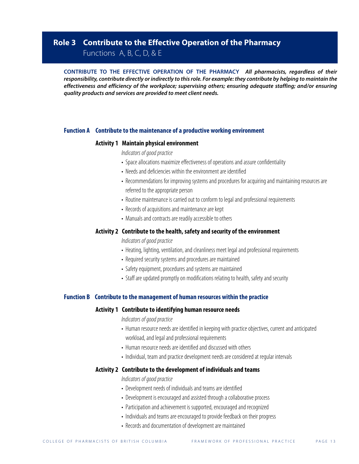### **Role 3 Contribute to the Effective Operation of the Pharmacy**

Functions A, B, C, D, & E

**CONTRIBUTE TO THE EFFECTIVE OPERATION OF THE PHARMACY All pharmacists, regardless of their responsibility, contribute directly or indirectly to this role. For example: they contribute by helping to maintain the effectiveness and efficiency of the workplace; supervising others; ensuring adequate staffing; and/or ensuring quality products and services are provided to meet client needs.**

### **Function A Contribute to the maintenance of a productive working environment**

### **Activity 1 Maintain physical environment**

Indicators of good practice

- Space allocations maximize effectiveness of operations and assure confidentiality
- Needs and deficiencies within the environment are identified
- Recommendations for improving systems and procedures for acquiring and maintaining resources are referred to the appropriate person
- Routine maintenance is carried out to conform to legal and professional requirements
- Records of acquisitions and maintenance are kept
- Manuals and contracts are readily accessible to others

### **Activity 2 Contribute to the health, safety and security of the environment**

Indicators of good practice

- Heating, lighting, ventilation, and cleanliness meet legal and professional requirements
- Required security systems and procedures are maintained
- Safety equipment, procedures and systems are maintained
- Staff are updated promptly on modifications relating to health, safety and security

### **Function B Contribute to the management of human resources within the practice**

### **Activity 1 Contribute to identifying human resource needs**

Indicators of good practice

- Human resource needs are identified in keeping with practice objectives, current and anticipated workload, and legal and professional requirements
- Human resource needs are identified and discussed with others
- Individual, team and practice development needs are considered at regular intervals

### **Activity 2 Contribute to the development of individuals and teams**

- Development needs of individuals and teams are identified
- Development is encouraged and assisted through a collaborative process
- Participation and achievement is supported, encouraged and recognized
- Individuals and teams are encouraged to provide feedback on their progress
- Records and documentation of development are maintained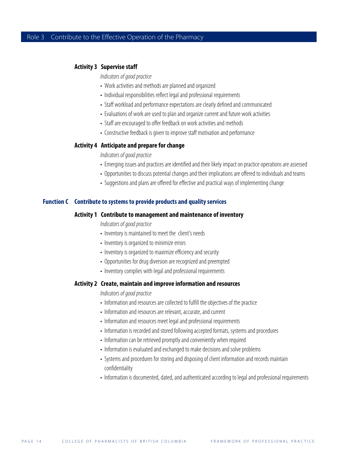### **Activity 3 Supervise staff**

Indicators of good practice

- Work activities and methods are planned and organized
- Individual responsibilities reflect legal and professional requirements
- Staff workload and performance expectations are clearly defined and communicated
- Evaluations of work are used to plan and organize current and future work activities
- Staff are encouraged to offer feedback on work activities and methods
- Constructive feedback is given to improve staff motivation and performance

### **Activity 4 Anticipate and prepare for change**

Indicators of good practice

- Emerging issues and practices are identified and their likely impact on practice operations are assessed
- Opportunities to discuss potential changes and their implications are offered to individuals and teams
- Suggestions and plans are offered for effective and practical ways of implementing change

#### **Function C Contribute to systems to provide products and quality services**

### **Activity 1 Contribute to management and maintenance of inventory**

Indicators of good practice

- Inventory is maintained to meet the client's needs
- Inventory is organized to minimize errors
- Inventory is organized to maximize efficiency and security
- Opportunities for drug diversion are recognized and preempted
- Inventory complies with legal and professional requirements

### **Activity 2 Create, maintain and improve information and resources**

- Information and resources are collected to fulfill the objectives of the practice
- Information and resources are relevant, accurate, and current
- Information and resources meet legal and professional requirements
- Information is recorded and stored following accepted formats, systems and procedures
- Information can be retrieved promptly and conveniently when required
- Information is evaluated and exchanged to make decisions and solve problems
- Systems and procedures for storing and disposing of client information and records maintain confidentiality
- Information is documented, dated, and authenticated according to legal and professional requirements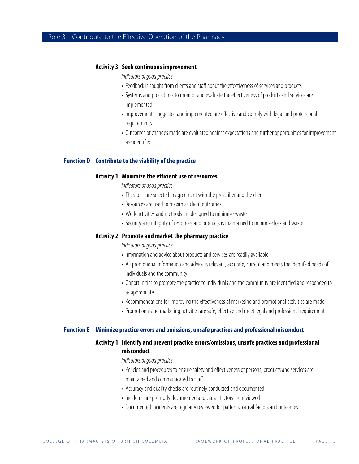### **Activity 3 Seek continuous improvement**

- Indicators of good practice
- Feedback is sought from clients and staff about the effectiveness of services and products
- Systems and procedures to monitor and evaluate the effectiveness of products and services are implemented
- Improvements suggested and implemented are effective and comply with legal and professional requirements
- Outcomes of changes made are evaluated against expectations and further opportunities for improvement are identified

### **Function D Contribute to the viability of the practice**

#### **Activity 1 Maximize the efficient use of resources**

Indicators of good practice

- Therapies are selected in agreement with the prescriber and the client
- Resources are used to maximize client outcomes
- Work activities and methods are designed to minimize waste
- Security and integrity of resources and products is maintained to minimize loss and waste

### **Activity 2 Promote and market the pharmacy practice**

Indicators of good practice

- Information and advice about products and services are readily available
- All promotional information and advice is relevant, accurate, current and meets the identified needs of individuals and the community
- Opportunities to promote the practice to individuals and the community are identified and responded to as appropriate
- Recommendations for improving the effectiveness of marketing and promotional activities are made
- Promotional and marketing activities are safe, effective and meet legal and professional requirements

#### **Function E Minimize practice errors and omissions, unsafe practices and professional misconduct**

### **Activity 1 Identify and prevent practice errors/omissions, unsafe practices and professional misconduct**

- Policies and procedures to ensure safety and effectiveness of persons, products and services are maintained and communicated to staff
- Accuracy and quality checks are routinely conducted and documented
- Incidents are promptly documented and causal factors are reviewed
- Documented incidents are regularly reviewed for patterns, causal factors and outcomes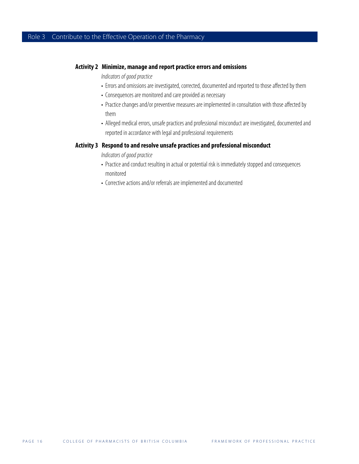### **Activity 2 Minimize, manage and report practice errors and omissions**

Indicators of good practice

- Errors and omissions are investigated, corrected, documented and reported to those affected by them
- Consequences are monitored and care provided as necessary
- Practice changes and/or preventive measures are implemented in consultation with those affected by them
- Alleged medical errors, unsafe practices and professional misconduct are investigated, documented and reported in accordance with legal and professional requirements

### **Activity 3 Respond to and resolve unsafe practices and professional misconduct**

- Practice and conduct resulting in actual or potential risk is immediately stopped and consequences monitored
- Corrective actions and/or referrals are implemented and documented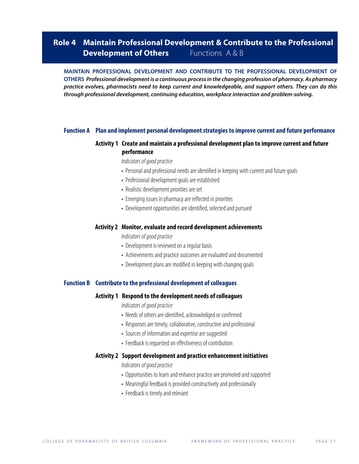### **Role 4 Maintain Professional Development & Contribute to the Professional Development of Others** Functions A & B

**MAINTAIN PROFESSIONAL DEVELOPMENT AND CONTRIBUTE TO THE PROFESSIONAL DEVELOPMENT OF OTHERS Professional development is a continuous process in the changing profession of pharmacy. As pharmacy practice evolves, pharmacists need to keep current and knowledgeable, and support others. They can do this through professional development, continuing education, workplace interaction and problem-solving.**

### **Function A Plan and implement personal development strategies to improve current and future performance**

### **Activity 1 Create and maintain a professional development plan to improve current and future performance**

Indicators of good practice

- Personal and professional needs are identified in keeping with current and future goals
- Professional development goals are established
- Realistic development priorities are set
- Emerging issues in pharmacy are reflected in priorities
- Development opportunities are identified, selected and pursued

#### **Activity 2 Monitor, evaluate and record development achievements**

Indicators of good practice

- Development is reviewed on a regular basis
- Achievements and practice outcomes are evaluated and documented
- Development plans are modified in keeping with changing goals

### **Function B Contribute to the professional development of colleagues**

### **Activity 1 Respond to the development needs of colleagues**

Indicators of good practice

- Needs of others are identified, acknowledged or confirmed
- Responses are timely, collaborative, constructive and professional
- Sources of information and expertise are suggested
- Feedback is requested on effectiveness of contribution

### **Activity 2 Support development and practice enhancement initiatives**

- Opportunities to learn and enhance practice are promoted and supported
- Meaningful feedback is provided constructively and professionally
- Feedback is timely and relevant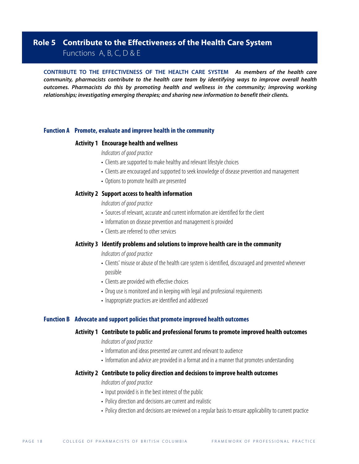### **Role 5 Contribute to the Effectiveness of the Health Care System**

### Functions A, B, C, D & E

**CONTRIBUTE TO THE EFFECTIVENESS OF THE HEALTH CARE SYSTEM As members of the health care community, pharmacists contribute to the health care team by identifying ways to improve overall health outcomes. Pharmacists do this by promoting health and wellness in the community; improving working relationships; investigating emerging therapies; and sharing new information to benefit their clients.**

### **Function A Promote, evaluate and improve health in the community**

### **Activity 1 Encourage health and wellness**

Indicators of good practice

- Clients are supported to make healthy and relevant lifestyle choices
- Clients are encouraged and supported to seek knowledge of disease prevention and management
- Options to promote health are presented

### **Activity 2 Support access to health information**

Indicators of good practice

- Sources of relevant, accurate and current information are identified for the client
- Information on disease prevention and management is provided
- Clients are referred to other services

### **Activity 3 Identify problems and solutions to improve health care in the community**

Indicators of good practice

- Clients' misuse or abuse of the health care system is identified, discouraged and prevented whenever possible
- Clients are provided with effective choices
- Drug use is monitored and in keeping with legal and professional requirements
- Inappropriate practices are identified and addressed

### **Function B Advocate and support policies that promote improved health outcomes**

### **Activity 1 Contribute to public and professional forums to promote improved health outcomes**

Indicators of good practice

- Information and ideas presented are current and relevant to audience
- Information and advice are provided in a format and in a manner that promotes understanding

### **Activity 2 Contribute to policy direction and decisions to improve health outcomes**

- Input provided is in the best interest of the public
- Policy direction and decisions are current and realistic
- Policy direction and decisions are reviewed on a regular basis to ensure applicability to current practice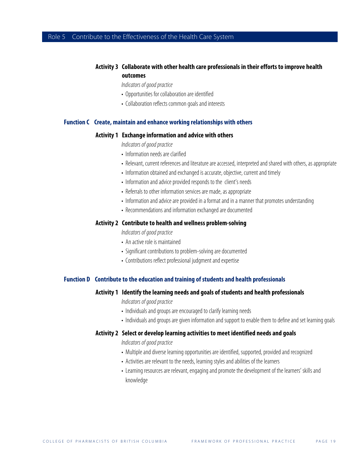### Role 5 Contribute to the Effectiveness of the Health Care System

### **Activity 3 Collaborate with other health care professionals in their efforts to improve health outcomes**

Indicators of good practice

- Opportunities for collaboration are identified
- Collaboration reflects common goals and interests

### **Function C Create, maintain and enhance working relationships with others**

### **Activity 1 Exchange information and advice with others**

Indicators of good practice

- Information needs are clarified
- Relevant, current references and literature are accessed, interpreted and shared with others, as appropriate
- Information obtained and exchanged is accurate, objective, current and timely
- Information and advice provided responds to the client's needs
- Referrals to other information services are made, as appropriate
- Information and advice are provided in a format and in a manner that promotes understanding
- Recommendations and information exchanged are documented

### **Activity 2 Contribute to health and wellness problem-solving**

Indicators of good practice

- An active role is maintained
- Significant contributions to problem-solving are documented
- Contributions reflect professional judgment and expertise

### **Function D Contribute to the education and training of students and health professionals**

#### **Activity 1 Identify the learning needs and goals of students and health professionals**

#### Indicators of good practice

- Individuals and groups are encouraged to clarify learning needs
- Individuals and groups are given information and support to enable them to define and set learning goals

### **Activity 2 Select or develop learning activities to meet identified needs and goals**

- Multiple and diverse learning opportunities are identified, supported, provided and recognized
- Activities are relevant to the needs, learning styles and abilities of the learners
- Learning resources are relevant, engaging and promote the development of the learners' skills and knowledge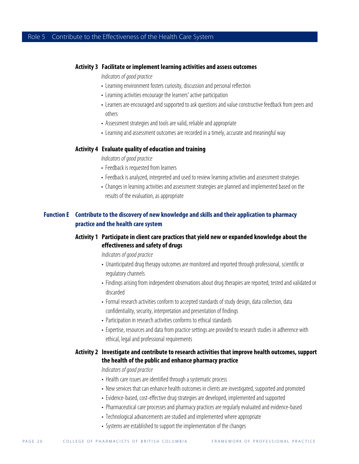### **Activity 3 Facilitate or implement learning activities and assess outcomes**

Indicators of good practice

- Learning environment fosters curiosity, discussion and personal reflection
- Learning activities encourage the learners' active participation
- Learners are encouraged and supported to ask questions and value constructive feedback from peers and others
- Assessment strategies and tools are valid, reliable and appropriate
- Learning and assessment outcomes are recorded in a timely, accurate and meaningful way

### **Activity 4 Evaluate quality of education and training**

Indicators of good practice

- Feedback is requested from learners
- Feedback is analyzed, interpreted and used to review learning activities and assessment strategies
- Changes in learning activities and assessment strategies are planned and implemented based on the results of the evaluation, as appropriate

### **Function E Contribute to the discovery of new knowledge and skills and their application to pharmacy practice and the health care system**

### **Activity 1 Participate in client care practices that yield new or expanded knowledge about the effectiveness and safety of drugs**

Indicators of good practice

- Unanticipated drug therapy outcomes are monitored and reported through professional, scientific or regulatory channels
- Findings arising from independent observations about drug therapies are reported, tested and validated or discarded
- Formal research activities conform to accepted standards of study design, data collection, data confidentiality, security, interpretation and presentation of findings
- Participation in research activities conforms to ethical standards
- Expertise, resources and data from practice settings are provided to research studies in adherence with ethical, legal and professional requirements

### **Activity 2 Investigate and contribute to research activities that improve health outcomes, support the health of the public and enhance pharmacy practice**

- Health care issues are identified through a systematic process
- New services that can enhance health outcomes in clients are investigated, supported and promoted
- Evidence-based, cost-effective drug strategies are developed, implemented and supported
- Pharmaceutical care processes and pharmacy practices are regularly evaluated and evidence-based
- Technological advancements are studied and implemented where appropriate
- Systems are established to support the implementation of the changes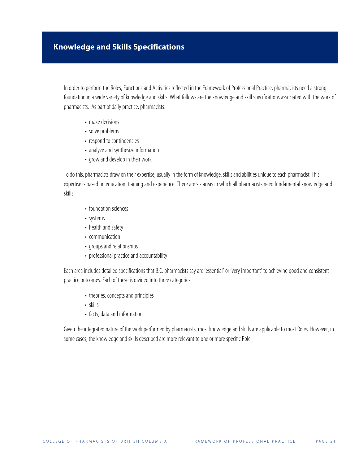In order to perform the Roles, Functions and Activities reflected in the Framework of Professional Practice, pharmacists need a strong foundation in a wide variety of knowledge and skills. What follows are the knowledge and skill specifications associated with the work of pharmacists. As part of daily practice, pharmacists:

- make decisions
- solve problems
- respond to contingencies
- analyze and synthesize information
- grow and develop in their work

To do this, pharmacists draw on their expertise, usually in the form of knowledge, skills and abilities unique to each pharmacist. This expertise is based on education, training and experience. There are six areas in which all pharmacists need fundamental knowledge and skills:

- foundation sciences
- systems
- health and safety
- communication
- groups and relationships
- professional practice and accountability

Each area includes detailed specifications that B.C. pharmacists say are 'essential' or 'very important' to achieving good and consistent practice outcomes. Each of these is divided into three categories:

- theories, concepts and principles
- skills
- facts, data and information

Given the integrated nature of the work performed by pharmacists, most knowledge and skills are applicable to most Roles. However, in some cases, the knowledge and skills described are more relevant to one or more specific Role.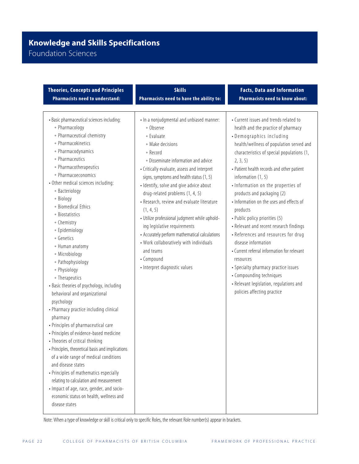### **Knowledge and Skills Specifications** Foundation Sciences

•Basic pharmaceutical sciences including: \* Pharmacology • Pharmaceutical chemistry • Pharmacokinetics • Pharmacodynamics  $\bullet$  Pharmaceutics  $\bullet$  Pharmacotherapeutics • Pharmacoeconomics • Other medical sciences including: \* Bacteriology \* Biology • Biomedical Ethics + Biostatistics + Chemistry  $\bullet$  Epidemiology + Genetics \* Human anatomy \* Microbiology \* Pathophysiology \* Physiology  $\bullet$  Therapeutics • Basic theories of psychology, including behavioral and organizational psychology • Pharmacy practice including clinical pharmacy • Principles of pharmaceutical care • Principles of evidence-based medicine • Theories of critical thinking • Principles, theoretical basis and implications of a wide range of medical conditions and disease states • Principles of mathematics especially relating to calculation and measurement • Impact of age, race, gender, and socioeconomic status on health, wellness and disease states • In a nonjudgmental and unbiased manner: \* Observe  $\textdegree$  Evaluate  $*$  Make decisions <sup>u</sup> Record • Disseminate information and advice • Critically evaluate, assess and interpret signs, symptoms and health status (1, 5) • Identify, solve and give advice about drug-related problems (1, 4, 5) • Research, review and evaluate literature (1, 4, 5) • Utilize professional judgment while upholding legislative requirements • Accurately perform mathematical calculations • Work collaboratively with individuals and teams • Compound • Interpret diagnostic values • Current issues and trends related to health and the practice of pharmacy • Demographics including health/wellness of population served and characteristics of special populations (1, 2, 3, 5) • Patient health records and other patient information (1, 5) • Information on the properties of products and packaging (2) • Information on the uses and effects of products • Public policy priorities (5) • Relevant and recent research findings • References and resources for drug disease information • Current referral information for relevant resources • Specialty pharmacy practice issues • Compounding techniques • Relevant legislation, regulations and policies affecting practice **Theories, Concepts and Principles Pharmacists need to understand: Skills Pharmacists need to have the ability to: Facts, Data and Information Pharmacists need to know about:**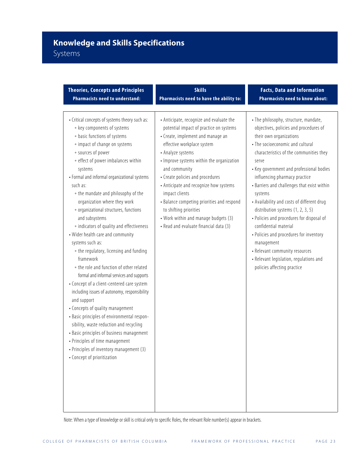### Systems

| <b>Theories, Concepts and Principles</b>                                                                                                                                                                                                                                                                                                                                                                                                                                                                                                                                                                                                                                                                                                                                                                                                                                                                                                                                                                                                                                           | <b>Skills</b>                                                                                                                                                                                                                                                                                                                                                                                                                                                                                       | <b>Facts, Data and Information</b>                                                                                                                                                                                                                                                                                                                                                                                                                                                                                                                                                                                                                                      |
|------------------------------------------------------------------------------------------------------------------------------------------------------------------------------------------------------------------------------------------------------------------------------------------------------------------------------------------------------------------------------------------------------------------------------------------------------------------------------------------------------------------------------------------------------------------------------------------------------------------------------------------------------------------------------------------------------------------------------------------------------------------------------------------------------------------------------------------------------------------------------------------------------------------------------------------------------------------------------------------------------------------------------------------------------------------------------------|-----------------------------------------------------------------------------------------------------------------------------------------------------------------------------------------------------------------------------------------------------------------------------------------------------------------------------------------------------------------------------------------------------------------------------------------------------------------------------------------------------|-------------------------------------------------------------------------------------------------------------------------------------------------------------------------------------------------------------------------------------------------------------------------------------------------------------------------------------------------------------------------------------------------------------------------------------------------------------------------------------------------------------------------------------------------------------------------------------------------------------------------------------------------------------------------|
| <b>Pharmacists need to understand:</b>                                                                                                                                                                                                                                                                                                                                                                                                                                                                                                                                                                                                                                                                                                                                                                                                                                                                                                                                                                                                                                             | Pharmacists need to have the ability to:                                                                                                                                                                                                                                                                                                                                                                                                                                                            | <b>Pharmacists need to know about:</b>                                                                                                                                                                                                                                                                                                                                                                                                                                                                                                                                                                                                                                  |
| • Critical concepts of systems theory such as:<br>* key components of systems<br>+ basic functions of systems<br>• impact of change on systems<br>* sources of power<br>• effect of power imbalances within<br>systems<br>• Formal and informal organizational systems<br>such as:<br>• the mandate and philosophy of the<br>organization where they work<br>• organizational structures, functions<br>and subsystems<br>• indicators of quality and effectiveness<br>• Wider health care and community<br>systems such as:<br>• the regulatory, licensing and funding<br>framework<br>• the role and function of other related<br>formal and informal services and supports<br>• Concept of a client-centered care system<br>including issues of autonomy, responsibility<br>and support<br>• Concepts of quality management<br>- Basic principles of environmental respon-<br>sibility, waste reduction and recycling<br>• Basic principles of business management<br>• Principles of time management<br>• Principles of inventory management (3)<br>• Concept of prioritization | • Anticipate, recognize and evaluate the<br>potential impact of practice on systems<br>• Create, implement and manage an<br>effective workplace system<br>• Analyze systems<br>• Improve systems within the organization<br>and community<br>• Create policies and procedures<br>• Anticipate and recognize how systems<br>impact clients<br>• Balance competing priorities and respond<br>to shifting priorities<br>• Work within and manage budgets (3)<br>• Read and evaluate financial data (3) | · The philosophy, structure, mandate,<br>objectives, policies and procedures of<br>their own organizations<br>• The socioeconomic and cultural<br>characteristics of the communities they<br>serve<br>• Key government and professional bodies<br>influencing pharmacy practice<br>• Barriers and challenges that exist within<br>systems<br>• Availability and costs of different drug<br>distribution systems (1, 2, 3, 5)<br>· Policies and procedures for disposal of<br>confidential material<br>• Policies and procedures for inventory<br>management<br>• Relevant community resources<br>• Relevant legislation, regulations and<br>policies affecting practice |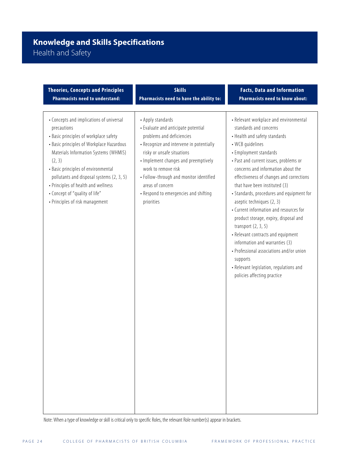## **Knowledge and Skills Specifications** Health and Safety

| <b>Theories, Concepts and Principles</b>                                                                                                                                                                                                                                                                                                                                                          | <b>Skills</b>                                                                                                                                                                                                                                                                                                                                        | <b>Facts, Data and Information</b>                                                                                                                                                                                                                                                                                                                                                                                                                                                                                                                                                                                                                                                                            |
|---------------------------------------------------------------------------------------------------------------------------------------------------------------------------------------------------------------------------------------------------------------------------------------------------------------------------------------------------------------------------------------------------|------------------------------------------------------------------------------------------------------------------------------------------------------------------------------------------------------------------------------------------------------------------------------------------------------------------------------------------------------|---------------------------------------------------------------------------------------------------------------------------------------------------------------------------------------------------------------------------------------------------------------------------------------------------------------------------------------------------------------------------------------------------------------------------------------------------------------------------------------------------------------------------------------------------------------------------------------------------------------------------------------------------------------------------------------------------------------|
| <b>Pharmacists need to understand:</b>                                                                                                                                                                                                                                                                                                                                                            | Pharmacists need to have the ability to:                                                                                                                                                                                                                                                                                                             | <b>Pharmacists need to know about:</b>                                                                                                                                                                                                                                                                                                                                                                                                                                                                                                                                                                                                                                                                        |
| • Concepts and implications of universal<br>precautions<br>• Basic principles of workplace safety<br>• Basic principles of Workplace Hazardous<br>Materials Information Systems (WHMIS)<br>(2, 3)<br>• Basic principles of environmental<br>pollutants and disposal systems (2, 3, 5)<br>• Principles of health and wellness<br>• Concept of "quality of life"<br>• Principles of risk management | • Apply standards<br>• Evaluate and anticipate potential<br>problems and deficiencies<br>• Recognize and intervene in potentially<br>risky or unsafe situations<br>• Implement changes and preemptively<br>work to remove risk<br>· Follow-through and monitor identified<br>areas of concern<br>• Respond to emergencies and shifting<br>priorities | • Relevant workplace and environmental<br>standards and concerns<br>• Health and safety standards<br>• WCB quidelines<br>• Employment standards<br>• Past and current issues, problems or<br>concerns and information about the<br>effectiveness of changes and corrections<br>that have been instituted (3)<br>• Standards, procedures and equipment for<br>aseptic techniques (2, 3)<br>• Current information and resources for<br>product storage, expiry, disposal and<br>transport $(2, 3, 5)$<br>• Relevant contracts and equipment<br>information and warranties (3)<br>• Professional associations and/or union<br>supports<br>• Relevant legislation, regulations and<br>policies affecting practice |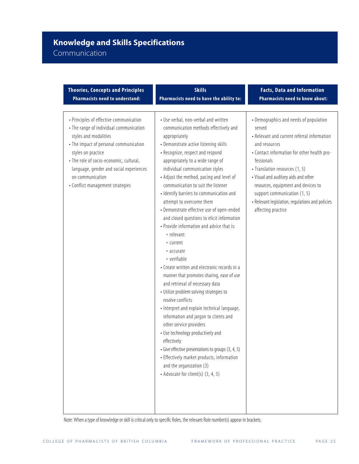### Communication

| <b>Theories, Concepts and Principles</b>                                                                                                                                                                                                                                                                                  | <b>Skills</b>                                                                                                                                                                                                                                                                                                                                                                                                                                                                                                                                                                                                                                                                                                                                                                                                                                                                                                                                                                                                                                                                                                                                              | <b>Facts, Data and Information</b>                                                                                                                                                                                                                                                                                                                                                                       |
|---------------------------------------------------------------------------------------------------------------------------------------------------------------------------------------------------------------------------------------------------------------------------------------------------------------------------|------------------------------------------------------------------------------------------------------------------------------------------------------------------------------------------------------------------------------------------------------------------------------------------------------------------------------------------------------------------------------------------------------------------------------------------------------------------------------------------------------------------------------------------------------------------------------------------------------------------------------------------------------------------------------------------------------------------------------------------------------------------------------------------------------------------------------------------------------------------------------------------------------------------------------------------------------------------------------------------------------------------------------------------------------------------------------------------------------------------------------------------------------------|----------------------------------------------------------------------------------------------------------------------------------------------------------------------------------------------------------------------------------------------------------------------------------------------------------------------------------------------------------------------------------------------------------|
| <b>Pharmacists need to understand:</b>                                                                                                                                                                                                                                                                                    | Pharmacists need to have the ability to:                                                                                                                                                                                                                                                                                                                                                                                                                                                                                                                                                                                                                                                                                                                                                                                                                                                                                                                                                                                                                                                                                                                   | Pharmacists need to know about:                                                                                                                                                                                                                                                                                                                                                                          |
| • Principles of effective communication<br>• The range of individual communication<br>styles and modalities<br>• The impact of personal communication<br>styles on practice<br>• The role of socio-economic, cultural,<br>language, gender and social experiences<br>on communication<br>• Conflict management strategies | • Use verbal, non-verbal and written<br>communication methods effectively and<br>appropriately<br>• Demonstrate active listening skills<br>• Recognize, respect and respond<br>appropriately to a wide range of<br>individual communication styles<br>• Adjust the method, pacing and level of<br>communication to suit the listener<br>· Identify barriers to communication and<br>attempt to overcome them<br>• Demonstrate effective use of open-ended<br>and closed questions to elicit information<br>• Provide information and advice that is:<br>• relevant<br>+ current<br>• accurate<br>• verifiable<br>• Create written and electronic records in a<br>manner that promotes sharing, ease of use<br>and retrieval of necessary data<br>• Utilize problem solving strategies to<br>resolve conflicts<br>• Interpret and explain technical language,<br>information and jargon to clients and<br>other service providers<br>• Use technology productively and<br>effectively<br>• Give effective presentations to groups (3, 4, 5)<br>• Effectively market products, information<br>and the organization (3)<br>• Advocate for client(s) (3, 4, 5) | • Demographics and needs of population<br>served<br>• Relevant and current referral information<br>and resources<br>- Contact information for other health pro-<br>fessionals<br>· Translation resources (1, 5)<br>• Visual and auditory aids and other<br>resources, equipment and devices to<br>support communication (1, 5)<br>• Relevant legislation, regulations and policies<br>affecting practice |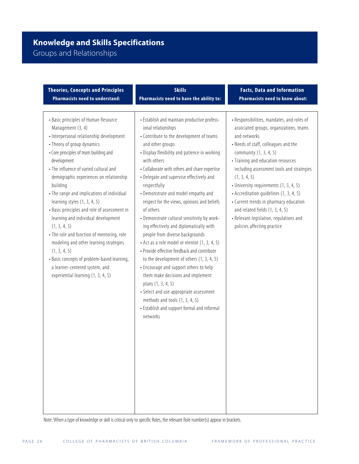# Groups and Relationships

| <b>Theories, Concepts and Principles</b>                                                                                                                                                                                                                                                                                                                                                                                                                                                                                                                                                                                                                                                                          | <b>Skills</b>                                                                                                                                                                                                                                                                                                                                                                                                                                                                                                                                                                                                                                                                                                                                                                                                                                                                                                                             | <b>Facts, Data and Information</b>                                                                                                                                                                                                                                                                                                                                                                                                                                                                                       |
|-------------------------------------------------------------------------------------------------------------------------------------------------------------------------------------------------------------------------------------------------------------------------------------------------------------------------------------------------------------------------------------------------------------------------------------------------------------------------------------------------------------------------------------------------------------------------------------------------------------------------------------------------------------------------------------------------------------------|-------------------------------------------------------------------------------------------------------------------------------------------------------------------------------------------------------------------------------------------------------------------------------------------------------------------------------------------------------------------------------------------------------------------------------------------------------------------------------------------------------------------------------------------------------------------------------------------------------------------------------------------------------------------------------------------------------------------------------------------------------------------------------------------------------------------------------------------------------------------------------------------------------------------------------------------|--------------------------------------------------------------------------------------------------------------------------------------------------------------------------------------------------------------------------------------------------------------------------------------------------------------------------------------------------------------------------------------------------------------------------------------------------------------------------------------------------------------------------|
| <b>Pharmacists need to understand:</b>                                                                                                                                                                                                                                                                                                                                                                                                                                                                                                                                                                                                                                                                            | Pharmacists need to have the ability to:                                                                                                                                                                                                                                                                                                                                                                                                                                                                                                                                                                                                                                                                                                                                                                                                                                                                                                  | <b>Pharmacists need to know about:</b>                                                                                                                                                                                                                                                                                                                                                                                                                                                                                   |
| • Basic principles of Human Resource<br>Management (3, 4)<br>• Interpersonal relationship development<br>• Theory of group dynamics<br>• Core principles of team building and<br>development<br>• The influence of varied cultural and<br>demographic experiences on relationship<br>building<br>• The range and implications of individual<br>learning styles (1, 3, 4, 5)<br>• Basic principles and role of assessment in<br>learning and individual development<br>(1, 3, 4, 5)<br>• The role and function of mentoring, role<br>modeling and other learning strategies<br>(1, 3, 4, 5)<br>• Basic concepts of problem-based learning,<br>a learner-centered system, and<br>experiential learning (1, 3, 4, 5) | • Establish and maintain productive profess-<br>ional relationships<br>• Contribute to the development of teams<br>and other groups<br>• Display flexibility and patience in working<br>with others<br>• Collaborate with others and share expertise<br>• Delegate and supervise effectively and<br>respectfully<br>• Demonstrate and model empathy and<br>respect for the views, opinions and beliefs<br>of others<br>• Demonstrate cultural sensitivity by work-<br>ing effectively and diplomatically with<br>people from diverse backgrounds<br>• Act as a role model or mentor (1, 3, 4, 5)<br>• Provide effective feedback and contribute<br>to the development of others (1, 3, 4, 5)<br>• Encourage and support others to help<br>them make decisions and implement<br>plans (1, 3, 4, 5)<br>• Select and use appropriate assessment<br>methods and tools (1, 3, 4, 5)<br>• Establish and support formal and informal<br>networks | • Responsibilities, mandates, and roles of<br>associated groups, organizations, teams<br>and networks<br>• Needs of staff, colleagues and the<br>community (1, 3, 4, 5)<br>• Training and education resources<br>including assessment tools and strategies<br>(1, 3, 4, 5)<br>• University requirements (1, 3, 4, 5)<br>• Accreditation guidelines (1, 3, 4, 5)<br>• Current trends in pharmacy education<br>and related fields $(1, 3, 4, 5)$<br>• Relevant legislation, regulations and<br>policies affecting practice |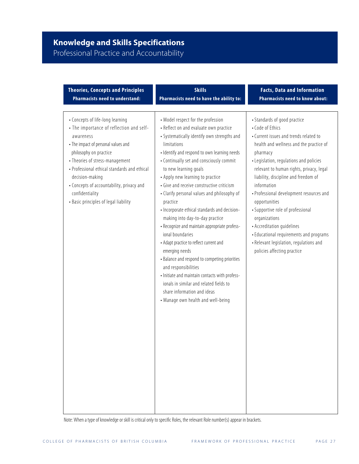# Professional Practice and Accountability

| <b>Theories, Concepts and Principles</b>                                                                                                                                                                                                                                                                                                                                  | <b>Skills</b>                                                                                                                                                                                                                                                                                                                                                                                                                                                                                                                                                                                                                                                                                                                                                                                                                                                                | <b>Facts, Data and Information</b>                                                                                                                                                                                                                                                                                                                                                                                                                                                                                                                                    |
|---------------------------------------------------------------------------------------------------------------------------------------------------------------------------------------------------------------------------------------------------------------------------------------------------------------------------------------------------------------------------|------------------------------------------------------------------------------------------------------------------------------------------------------------------------------------------------------------------------------------------------------------------------------------------------------------------------------------------------------------------------------------------------------------------------------------------------------------------------------------------------------------------------------------------------------------------------------------------------------------------------------------------------------------------------------------------------------------------------------------------------------------------------------------------------------------------------------------------------------------------------------|-----------------------------------------------------------------------------------------------------------------------------------------------------------------------------------------------------------------------------------------------------------------------------------------------------------------------------------------------------------------------------------------------------------------------------------------------------------------------------------------------------------------------------------------------------------------------|
| <b>Pharmacists need to understand:</b>                                                                                                                                                                                                                                                                                                                                    | Pharmacists need to have the ability to:                                                                                                                                                                                                                                                                                                                                                                                                                                                                                                                                                                                                                                                                                                                                                                                                                                     | <b>Pharmacists need to know about:</b>                                                                                                                                                                                                                                                                                                                                                                                                                                                                                                                                |
| • Concepts of life-long learning<br>• The importance of reflection and self-<br>awareness<br>• The impact of personal values and<br>philosophy on practice<br>• Theories of stress-management<br>• Professional ethical standards and ethical<br>decision-making<br>• Concepts of accountability, privacy and<br>confidentiality<br>• Basic principles of legal liability | • Model respect for the profession<br>• Reflect on and evaluate own practice<br>• Systematically identify own strengths and<br>limitations<br>· Identify and respond to own learning needs<br>• Continually set and consciously commit<br>to new learning goals<br>• Apply new learning to practice<br>· Give and receive constructive criticism<br>• Clarify personal values and philosophy of<br>practice<br>- Incorporate ethical standards and decision-<br>making into day-to-day practice<br>- Recognize and maintain appropriate profess-<br>ional boundaries<br>• Adapt practice to reflect current and<br>emerging needs<br>• Balance and respond to competing priorities<br>and responsibilities<br>- Initiate and maintain contacts with profess-<br>ionals in similar and related fields to<br>share information and ideas<br>• Manage own health and well-being | • Standards of good practice<br>• Code of Ethics<br>• Current issues and trends related to<br>health and wellness and the practice of<br>pharmacy<br>• Legislation, regulations and policies<br>relevant to human rights, privacy, legal<br>liability, discipline and freedom of<br>information<br>• Professional development resources and<br>opportunities<br>• Supportive role of professional<br>organizations<br>• Accreditation guidelines<br>• Educational requirements and programs<br>• Relevant legislation, regulations and<br>policies affecting practice |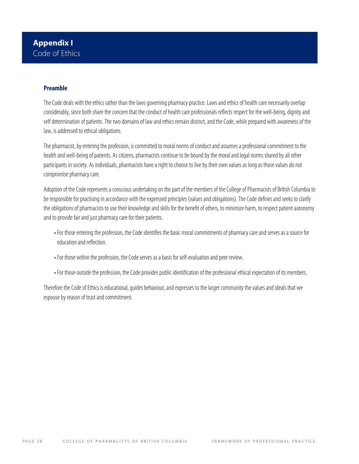### **Preamble**

The Code deals with the ethics rather than the laws governing pharmacy practice. Laws and ethics of health care necessarily overlap considerably, since both share the concern that the conduct of health care professionals reflects respect for the well-being, dignity and self determination of patients. The two domains of law and ethics remain distinct, and the Code, while prepared with awareness of the law, is addressed to ethical obligations.

The pharmacist, by entering the profession, is committed to moral norms of conduct and assumes a professional commitment to the health and well-being of patients. As citizens, pharmacists continue to be bound by the moral and legal norms shared by all other participants in society. As individuals, pharmacists have a right to choose to live by their own values as long as those values do not compromise pharmacy care.

Adoption of the Code represents a conscious undertaking on the part of the members of the College of Pharmacists of British Columbia to be responsible for practising in accordance with the expressed principles (values and obligations). The Code defines and seeks to clarify the obligations of pharmacists to use their knowledge and skills for the benefit of others, to minimize harm, to respect patient autonomy and to provide fair and just pharmacy care for their patients.

- For those entering the profession, the Code identifies the basic moral commitments of pharmacy care and serves as a source for education and reflection.
- For those within the profession, the Code serves as a basis for self-evaluation and peer review.
- For those outside the profession, the Code provides public identification of the professional ethical expectation of its members.

Therefore the Code of Ethics is educational, guides behaviour, and expresses to the larger community the values and ideals that we espouse by reason of trust and commitment.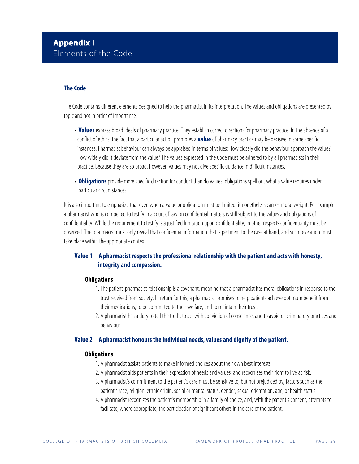### **Appendix I** Elements of the Code

### **The Code**

The Code contains different elements designed to help the pharmacist in its interpretation. The values and obligations are presented by topic and not in order of importance.

- **Values** express broad ideals of pharmacy practice. They establish correct directions for pharmacy practice. In the absence of a conflict of ethics, the fact that a particular action promotes a **value** of pharmacy practice may be decisive in some specific instances. Pharmacist behaviour can always be appraised in terms of values; How closely did the behaviour approach the value? How widely did it deviate from the value? The values expressed in the Code must be adhered to by all pharmacists in their practice. Because they are so broad, however, values may not give specific guidance in difficult instances.
- **Obligations** provide more specific direction for conduct than do values; obligations spell out what a value requires under particular circumstances.

It is also important to emphasize that even when a value or obligation must be limited, it nonetheless carries moral weight. For example, a pharmacist who is compelled to testify in a court of law on confidential matters is still subject to the values and obligations of confidentiality. While the requirement to testify is a justified limitation upon confidentiality, in other respects confidentiality must be observed. The pharmacist must only reveal that confidential information that is pertinent to the case at hand, and such revelation must take place within the appropriate context.

### **Value 1 A pharmacist respects the professional relationship with the patient and acts with honesty, integrity and compassion.**

### **Obligations**

- 1. The patient-pharmacist relationship is a covenant, meaning that a pharmacist has moral obligations in response to the trust received from society. In return for this, a pharmacist promises to help patients achieve optimum benefit from their medications, to be committed to their welfare, and to maintain their trust.
- 2. A pharmacist has a duty to tell the truth, to act with conviction of conscience, and to avoid discriminatory practices and behaviour.

### **Value 2 A pharmacist honours the individual needs, values and dignity of the patient.**

### **Obligations**

- 1. A pharmacist assists patients to make informed choices about their own best interests.
- 2. A pharmacist aids patients in their expression of needs and values, and recognizes their right to live at risk.
- 3. A pharmacist's commitment to the patient's care must be sensitive to, but not prejudiced by, factors such as the patient's race, religion, ethnic origin, social or marital status, gender, sexual orientation, age, or health status.
- 4. A pharmacist recognizes the patient's membership in a family of choice, and, with the patient's consent, attempts to facilitate, where appropriate, the participation of significant others in the care of the patient.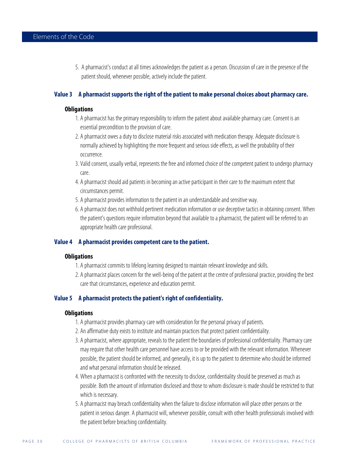5. A pharmacist's conduct at all times acknowledges the patient as a person. Discussion of care in the presence of the patient should, whenever possible, actively include the patient.

### **Value 3 A pharmacist supports the right of the patient to make personal choices about pharmacy care.**

### **Obligations**

- 1. A pharmacist has the primary responsibility to inform the patient about available pharmacy care. Consent is an essential precondition to the provision of care.
- 2. A pharmacist owes a duty to disclose material risks associated with medication therapy. Adequate disclosure is normally achieved by highlighting the more frequent and serious side effects, as well the probability of their occurrence.
- 3. Valid consent, usually verbal, represents the free and informed choice of the competent patient to undergo pharmacy care.
- 4. A pharmacist should aid patients in becoming an active participant in their care to the maximum extent that circumstances permit.
- 5. A pharmacist provides information to the patient in an understandable and sensitive way.
- 6. A pharmacist does not withhold pertinent medication information or use deceptive tactics in obtaining consent. When the patient's questions require information beyond that available to a pharmacist, the patient will be referred to an appropriate health care professional.

### **Value 4 A pharmacist provides competent care to the patient.**

### **Obligations**

- 1. A pharmacist commits to lifelong learning designed to maintain relevant knowledge and skills.
- 2. A pharmacist places concern for the well-being of the patient at the centre of professional practice, providing the best care that circumstances, experience and education permit.

### **Value 5 A pharmacist protects the patient's right of confidentiality.**

### **Obligations**

- 1. A pharmacist provides pharmacy care with consideration for the personal privacy of patients.
- 2. An affirmative duty exists to institute and maintain practices that protect patient confidentiality.
- 3. A pharmacist, where appropriate, reveals to the patient the boundaries of professional confidentiality. Pharmacy care may require that other health care personnel have access to or be provided with the relevant information. Whenever possible, the patient should be informed, and generally, it is up to the patient to determine who should be informed and what personal information should be released.
- 4. When a pharmacist is confronted with the necessity to disclose, confidentiality should be preserved as much as possible. Both the amount of information disclosed and those to whom disclosure is made should be restricted to that which is necessary.
- 5. A pharmacist may breach confidentiality when the failure to disclose information will place other persons or the patient in serious danger. A pharmacist will, whenever possible, consult with other health professionals involved with the patient before breaching confidentiality.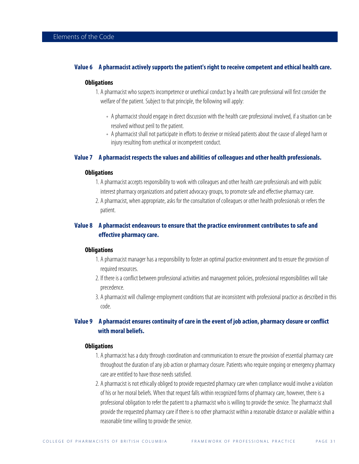### **Value 6 A pharmacist actively supports the patient's right to receive competent and ethical health care.**

#### **Obligations**

1. A pharmacist who suspects incompetence or unethical conduct by a health care professional will first consider the welfare of the patient. Subject to that principle, the following will apply:

- A pharmacist should engage in direct discussion with the health care professional involved, if a situation can be resolved without peril to the patient.
- A pharmacist shall not participate in efforts to deceive or mislead patients about the cause of alleged harm or injury resulting from unethical or incompetent conduct.

### **Value 7 A pharmacist respects the values and abilities of colleagues and other health professionals.**

#### **Obligations**

- 1. A pharmacist accepts responsibility to work with colleagues and other health care professionals and with public interest pharmacy organizations and patient advocacy groups, to promote safe and effective pharmacy care.
- 2. A pharmacist, when appropriate, asks for the consultation of colleagues or other health professionals or refers the patient.

### **Value 8 A pharmacist endeavours to ensure that the practice environment contributes to safe and effective pharmacy care.**

### **Obligations**

- 1. A pharmacist manager has a responsibility to foster an optimal practice environment and to ensure the provision of required resources.
- 2. If there is a conflict between professional activities and management policies, professional responsibilities will take precedence.
- 3. A pharmacist will challenge employment conditions that are inconsistent with professional practice as described in this code.

### **Value 9 A pharmacist ensures continuity of care in the event of job action, pharmacy closure or conflict with moral beliefs.**

### **Obligations**

- 1. A pharmacist has a duty through coordination and communication to ensure the provision of essential pharmacy care throughout the duration of any job action or pharmacy closure. Patients who require ongoing or emergency pharmacy care are entitled to have those needs satisfied.
- 2. A pharmacist is not ethically obliged to provide requested pharmacy care when compliance would involve a violation of his or her moral beliefs. When that request falls within recognized forms of pharmacy care, however, there is a professional obligation to refer the patient to a pharmacist who is willing to provide the service. The pharmacist shall provide the requested pharmacy care if there is no other pharmacist within a reasonable distance or available within a reasonable time willing to provide the service.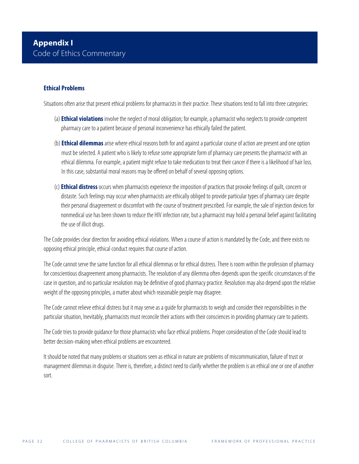### **Ethical Problems**

Situations often arise that present ethical problems for pharmacists in their practice. These situations tend to fall into three categories:

- (a) **Ethical violations** involve the neglect of moral obligation; for example, a pharmacist who neglects to provide competent pharmacy care to a patient because of personal inconvenience has ethically failed the patient.
- (b) **Ethical dilemmas** arise where ethical reasons both for and against a particular course of action are present and one option must be selected. A patient who is likely to refuse some appropriate form of pharmacy care presents the pharmacist with an ethical dilemma. For example, a patient might refuse to take medication to treat their cancer if there is a likelihood of hair loss. In this case, substantial moral reasons may be offered on behalf of several opposing options.
- (c) **Ethical distress**occurs when pharmacists experience the imposition of practices that provoke feelings of guilt, concern or distaste. Such feelings may occur when pharmacists are ethically obliged to provide particular types of pharmacy care despite their personal disagreement or discomfort with the course of treatment prescribed. For example, the sale of injection devices for nonmedical use has been shown to reduce the HIV infection rate, but a pharmacist may hold a personal belief against facilitating the use of illicit drugs.

The Code provides clear direction for avoiding ethical violations. When a course of action is mandated by the Code, and there exists no opposing ethical principle, ethical conduct requires that course of action.

The Code cannot serve the same function for all ethical dilemmas or for ethical distress. There is room within the profession of pharmacy for conscientious disagreement among pharmacists. The resolution of any dilemma often depends upon the specific circumstances of the case in question, and no particular resolution may be definitive of good pharmacy practice. Resolution may also depend upon the relative weight of the opposing principles, a matter about which reasonable people may disagree.

The Code cannot relieve ethical distress but it may serve as a guide for pharmacists to weigh and consider their responsibilities in the particular situation, Inevitably, pharmacists must reconcile their actions with their consciences in providing pharmacy care to patients.

The Code tries to provide guidance for those pharmacists who face ethical problems. Proper consideration of the Code should lead to better decision-making when ethical problems are encountered.

It should be noted that many problems or situations seen as ethical in nature are problems of miscommunication, failure of trust or management dilemmas in disguise. There is, therefore, a distinct need to clarify whether the problem is an ethical one or one of another sort.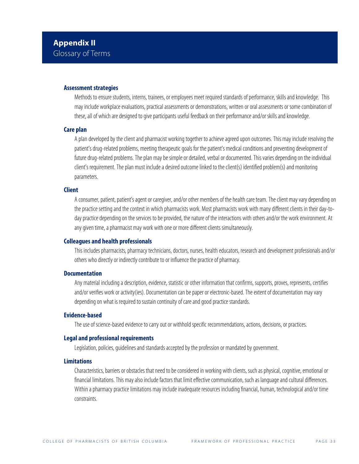### **Assessment strategies**

Methods to ensure students, interns, trainees, or employees meet required standards of performance, skills and knowledge. This may include workplace evaluations, practical assessments or demonstrations, written or oral assessments or some combination of these, all of which are designed to give participants useful feedback on their performance and/or skills and knowledge.

### **Care plan**

A plan developed by the client and pharmacist working together to achieve agreed upon outcomes. This may include resolving the patient's drug-related problems, meeting therapeutic goals for the patient's medical conditions and preventing development of future drug-related problems. The plan may be simple or detailed, verbal or documented. This varies depending on the individual client's requirement. The plan must include a desired outcome linked to the client(s) identified problem(s) and monitoring parameters.

### **Client**

A consumer, patient, patient's agent or caregiver, and/or other members of the health care team. The client may vary depending on the practice setting and the context in which pharmacists work. Most pharmacists work with many different clients in their day-today practice depending on the services to be provided, the nature of the interactions with others and/or the work environment. At any given time, a pharmacist may work with one or more different clients simultaneously.

### **Colleagues and health professionals**

This includes pharmacists, pharmacy technicians, doctors, nurses, health educators, research and development professionals and/or others who directly or indirectly contribute to or influence the practice of pharmacy.

### **Documentation**

Any material including a description, evidence, statistic or other information that confirms, supports, proves, represents, certifies and/or verifies work or activity(ies). Documentation can be paper or electronic-based. The extent of documentation may vary depending on what is required to sustain continuity of care and good practice standards.

### **Evidence-based**

The use of science-based evidence to carry out or withhold specific recommendations, actions, decisions, or practices.

### **Legal and professional requirements**

Legislation, policies, guidelines and standards accepted by the profession or mandated by government.

### **Limitations**

Characteristics, barriers or obstacles that need to be considered in working with clients, such as physical, cognitive, emotional or financial limitations. This may also include factors that limit effective communication, such as language and cultural differences. Within a pharmacy practice limitations may include inadequate resources including financial, human, technological and/or time constraints.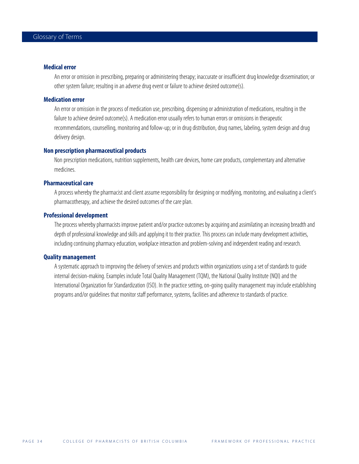### **Medical error**

An error or omission in prescribing, preparing or administering therapy; inaccurate or insufficient drug knowledge dissemination; or other system failure; resulting in an adverse drug event or failure to achieve desired outcome(s).

### **Medication error**

An error or omission in the process of medication use, prescribing, dispensing or administration of medications, resulting in the failure to achieve desired outcome(s). A medication error usually refers to human errors or omissions in therapeutic recommendations, counselling, monitoring and follow-up; or in drug distribution, drug names, labeling, system design and drug delivery design.

### **Non prescription pharmaceutical products**

Non prescription medications, nutrition supplements, health care devices, home care products, complementary and alternative medicines.

### **Pharmaceutical care**

A process whereby the pharmacist and client assume responsibility for designing or modifying, monitoring, and evaluating a client's pharmacotherapy, and achieve the desired outcomes of the care plan.

### **Professional development**

The process whereby pharmacists improve patient and/or practice outcomes by acquiring and assimilating an increasing breadth and depth of professional knowledge and skills and applying it to their practice. This process can include many development activities, including continuing pharmacy education, workplace interaction and problem-solving and independent reading and research.

#### **Quality management**

A systematic approach to improving the delivery of services and products within organizations using a set of standards to guide internal decision-making. Examples include Total Quality Management (TQM), the National Quality Institute (NQI) and the International Organization for Standardization (ISO). In the practice setting, on-going quality management may include establishing programs and/or guidelines that monitor staff performance, systems, facilities and adherence to standards of practice.